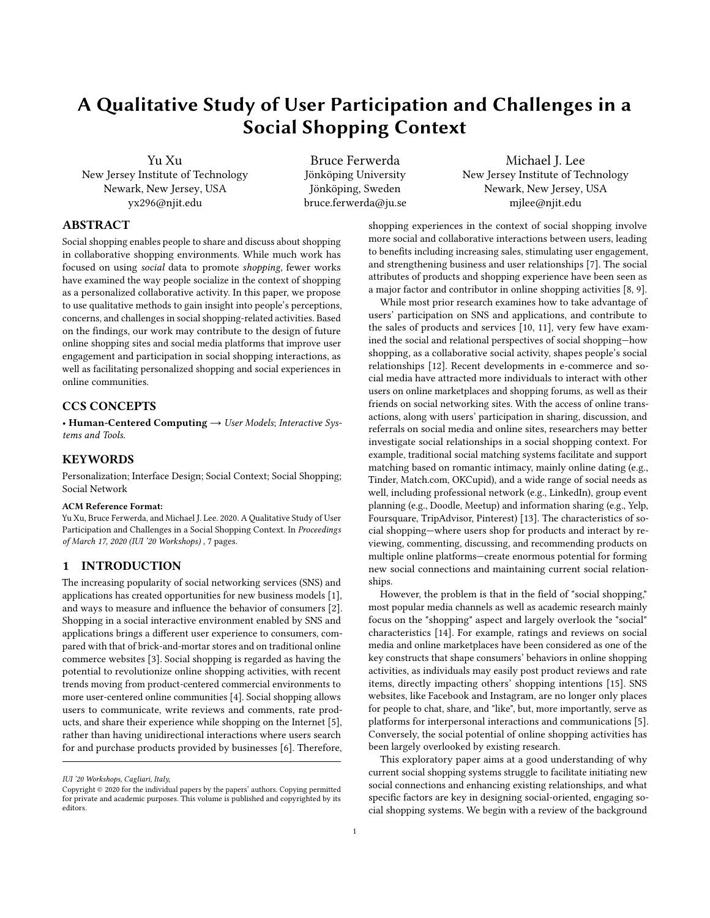# A Qualitative Study of User Participation and Challenges in a Social Shopping Context

Yu Xu New Jersey Institute of Technology Newark, New Jersey, USA yx296@njit.edu

Bruce Ferwerda Jönköping University Jönköping, Sweden bruce.ferwerda@ju.se

Michael J. Lee New Jersey Institute of Technology Newark, New Jersey, USA mjlee@njit.edu

#### ABSTRACT

Social shopping enables people to share and discuss about shopping in collaborative shopping environments. While much work has focused on using social data to promote shopping, fewer works have examined the way people socialize in the context of shopping as a personalized collaborative activity. In this paper, we propose to use qualitative methods to gain insight into people's perceptions, concerns, and challenges in social shopping-related activities. Based on the findings, our work may contribute to the design of future online shopping sites and social media platforms that improve user engagement and participation in social shopping interactions, as well as facilitating personalized shopping and social experiences in online communities.

#### CCS CONCEPTS

• Human-Centered Computing  $\rightarrow$  User Models; Interactive Systems and Tools.

#### **KEYWORDS**

Personalization; Interface Design; Social Context; Social Shopping; Social Network

#### ACM Reference Format:

Yu Xu, Bruce Ferwerda, and Michael J. Lee. 2020. A Qualitative Study of User Participation and Challenges in a Social Shopping Context. In Proceedings of March 17, 2020 (IUI '20 Workshops) , [7](#page-6-0) pages.

#### 1 INTRODUCTION

The increasing popularity of social networking services (SNS) and applications has created opportunities for new business models [\[1\]](#page-6-1), and ways to measure and influence the behavior of consumers [\[2\]](#page-6-2). Shopping in a social interactive environment enabled by SNS and applications brings a different user experience to consumers, compared with that of brick-and-mortar stores and on traditional online commerce websites [\[3\]](#page-6-3). Social shopping is regarded as having the potential to revolutionize online shopping activities, with recent trends moving from product-centered commercial environments to more user-centered online communities [\[4\]](#page-6-4). Social shopping allows users to communicate, write reviews and comments, rate products, and share their experience while shopping on the Internet [\[5\]](#page-6-5), rather than having unidirectional interactions where users search for and purchase products provided by businesses [\[6\]](#page-6-6). Therefore,

shopping experiences in the context of social shopping involve more social and collaborative interactions between users, leading to benefits including increasing sales, stimulating user engagement, and strengthening business and user relationships [\[7\]](#page-6-7). The social attributes of products and shopping experience have been seen as a major factor and contributor in online shopping activities [\[8,](#page-6-8) [9\]](#page-6-9).

While most prior research examines how to take advantage of users' participation on SNS and applications, and contribute to the sales of products and services [\[10,](#page-6-10) [11\]](#page-6-11), very few have examined the social and relational perspectives of social shopping—how shopping, as a collaborative social activity, shapes people's social relationships [\[12\]](#page-6-12). Recent developments in e-commerce and social media have attracted more individuals to interact with other users on online marketplaces and shopping forums, as well as their friends on social networking sites. With the access of online transactions, along with users' participation in sharing, discussion, and referrals on social media and online sites, researchers may better investigate social relationships in a social shopping context. For example, traditional social matching systems facilitate and support matching based on romantic intimacy, mainly online dating (e.g., Tinder, Match.com, OKCupid), and a wide range of social needs as well, including professional network (e.g., LinkedIn), group event planning (e.g., Doodle, Meetup) and information sharing (e.g., Yelp, Foursquare, TripAdvisor, Pinterest) [\[13\]](#page-6-13). The characteristics of social shopping—where users shop for products and interact by reviewing, commenting, discussing, and recommending products on multiple online platforms—create enormous potential for forming new social connections and maintaining current social relationships.

However, the problem is that in the field of "social shopping," most popular media channels as well as academic research mainly focus on the "shopping" aspect and largely overlook the "social" characteristics [\[14\]](#page-6-14). For example, ratings and reviews on social media and online marketplaces have been considered as one of the key constructs that shape consumers' behaviors in online shopping activities, as individuals may easily post product reviews and rate items, directly impacting others' shopping intentions [\[15\]](#page-6-15). SNS websites, like Facebook and Instagram, are no longer only places for people to chat, share, and "like", but, more importantly, serve as platforms for interpersonal interactions and communications [\[5\]](#page-6-5). Conversely, the social potential of online shopping activities has been largely overlooked by existing research.

This exploratory paper aims at a good understanding of why current social shopping systems struggle to facilitate initiating new social connections and enhancing existing relationships, and what specific factors are key in designing social-oriented, engaging social shopping systems. We begin with a review of the background

IUI '20 Workshops, Cagliari, Italy,

Copyright © 2020 for the individual papers by the papers' authors. Copying permitted for private and academic purposes. This volume is published and copyrighted by its editors.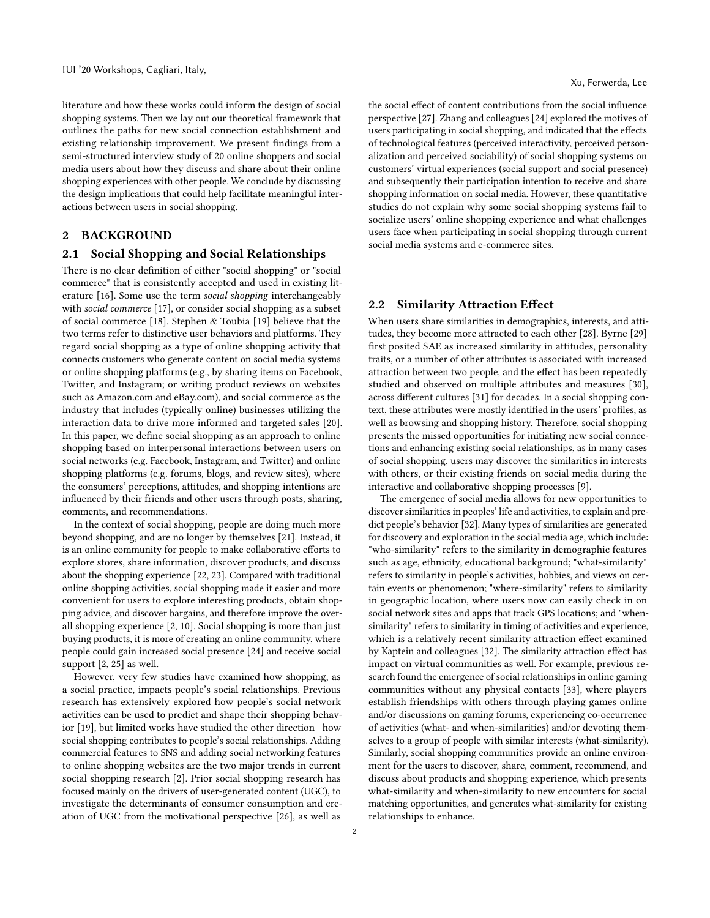literature and how these works could inform the design of social shopping systems. Then we lay out our theoretical framework that outlines the paths for new social connection establishment and existing relationship improvement. We present findings from a semi-structured interview study of 20 online shoppers and social media users about how they discuss and share about their online shopping experiences with other people. We conclude by discussing the design implications that could help facilitate meaningful interactions between users in social shopping.

# 2 BACKGROUND

# 2.1 Social Shopping and Social Relationships

There is no clear definition of either "social shopping" or "social commerce" that is consistently accepted and used in existing literature [\[16\]](#page-6-16). Some use the term social shopping interchangeably with social commerce [\[17\]](#page-6-17), or consider social shopping as a subset of social commerce [\[18\]](#page-6-18). Stephen & Toubia [\[19\]](#page-6-19) believe that the two terms refer to distinctive user behaviors and platforms. They regard social shopping as a type of online shopping activity that connects customers who generate content on social media systems or online shopping platforms (e.g., by sharing items on Facebook, Twitter, and Instagram; or writing product reviews on websites such as Amazon.com and eBay.com), and social commerce as the industry that includes (typically online) businesses utilizing the interaction data to drive more informed and targeted sales [\[20\]](#page-6-20). In this paper, we define social shopping as an approach to online shopping based on interpersonal interactions between users on social networks (e.g. Facebook, Instagram, and Twitter) and online shopping platforms (e.g. forums, blogs, and review sites), where the consumers' perceptions, attitudes, and shopping intentions are influenced by their friends and other users through posts, sharing, comments, and recommendations.

In the context of social shopping, people are doing much more beyond shopping, and are no longer by themselves [\[21\]](#page-6-21). Instead, it is an online community for people to make collaborative efforts to explore stores, share information, discover products, and discuss about the shopping experience [\[22,](#page-6-22) [23\]](#page-6-23). Compared with traditional online shopping activities, social shopping made it easier and more convenient for users to explore interesting products, obtain shopping advice, and discover bargains, and therefore improve the overall shopping experience [\[2,](#page-6-2) [10\]](#page-6-10). Social shopping is more than just buying products, it is more of creating an online community, where people could gain increased social presence [\[24\]](#page-6-24) and receive social support [\[2,](#page-6-2) [25\]](#page-6-25) as well.

However, very few studies have examined how shopping, as a social practice, impacts people's social relationships. Previous research has extensively explored how people's social network activities can be used to predict and shape their shopping behavior [\[19\]](#page-6-19), but limited works have studied the other direction—how social shopping contributes to people's social relationships. Adding commercial features to SNS and adding social networking features to online shopping websites are the two major trends in current social shopping research [\[2\]](#page-6-2). Prior social shopping research has focused mainly on the drivers of user-generated content (UGC), to investigate the determinants of consumer consumption and creation of UGC from the motivational perspective [\[26\]](#page-6-26), as well as

the social effect of content contributions from the social influence perspective [\[27\]](#page-6-27). Zhang and colleagues [\[24\]](#page-6-24) explored the motives of users participating in social shopping, and indicated that the effects of technological features (perceived interactivity, perceived personalization and perceived sociability) of social shopping systems on customers' virtual experiences (social support and social presence) and subsequently their participation intention to receive and share shopping information on social media. However, these quantitative studies do not explain why some social shopping systems fail to socialize users' online shopping experience and what challenges users face when participating in social shopping through current social media systems and e-commerce sites.

# 2.2 Similarity Attraction Effect

When users share similarities in demographics, interests, and attitudes, they become more attracted to each other [\[28\]](#page-6-28). Byrne [\[29\]](#page-6-29) first posited SAE as increased similarity in attitudes, personality traits, or a number of other attributes is associated with increased attraction between two people, and the effect has been repeatedly studied and observed on multiple attributes and measures [\[30\]](#page-6-30), across different cultures [\[31\]](#page-6-31) for decades. In a social shopping context, these attributes were mostly identified in the users' profiles, as well as browsing and shopping history. Therefore, social shopping presents the missed opportunities for initiating new social connections and enhancing existing social relationships, as in many cases of social shopping, users may discover the similarities in interests with others, or their existing friends on social media during the interactive and collaborative shopping processes [\[9\]](#page-6-9).

The emergence of social media allows for new opportunities to discover similarities in peoples' life and activities, to explain and predict people's behavior [\[32\]](#page-6-32). Many types of similarities are generated for discovery and exploration in the social media age, which include: "who-similarity" refers to the similarity in demographic features such as age, ethnicity, educational background; "what-similarity" refers to similarity in people's activities, hobbies, and views on certain events or phenomenon; "where-similarity" refers to similarity in geographic location, where users now can easily check in on social network sites and apps that track GPS locations; and "whensimilarity" refers to similarity in timing of activities and experience, which is a relatively recent similarity attraction effect examined by Kaptein and colleagues [\[32\]](#page-6-32). The similarity attraction effect has impact on virtual communities as well. For example, previous research found the emergence of social relationships in online gaming communities without any physical contacts [\[33\]](#page-6-33), where players establish friendships with others through playing games online and/or discussions on gaming forums, experiencing co-occurrence of activities (what- and when-similarities) and/or devoting themselves to a group of people with similar interests (what-similarity). Similarly, social shopping communities provide an online environment for the users to discover, share, comment, recommend, and discuss about products and shopping experience, which presents what-similarity and when-similarity to new encounters for social matching opportunities, and generates what-similarity for existing relationships to enhance.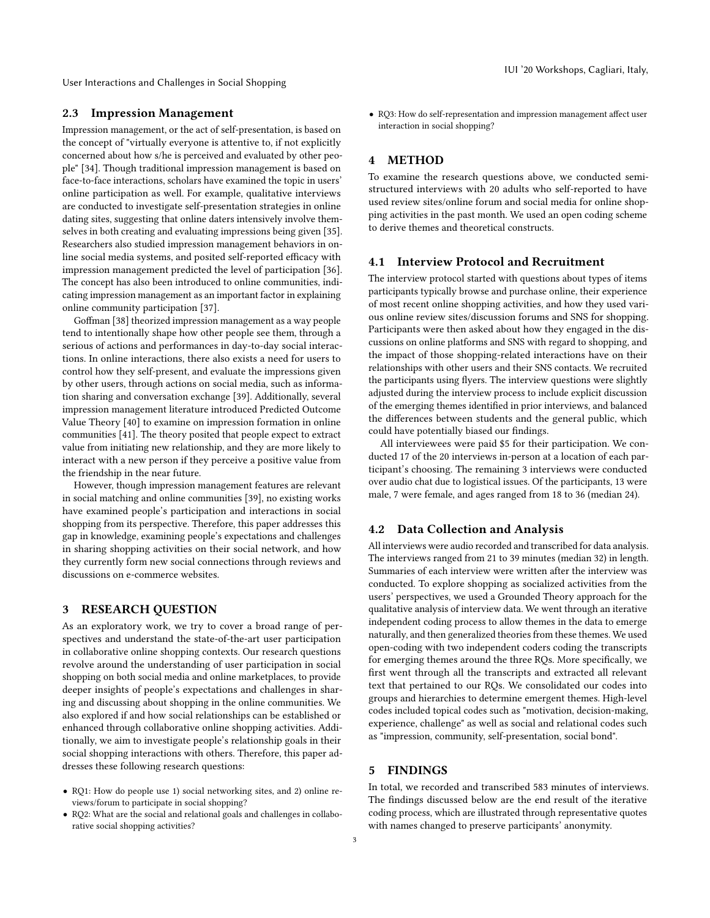User Interactions and Challenges in Social Shopping

# 2.3 Impression Management

Impression management, or the act of self-presentation, is based on the concept of "virtually everyone is attentive to, if not explicitly concerned about how s/he is perceived and evaluated by other people" [\[34\]](#page-6-34). Though traditional impression management is based on face-to-face interactions, scholars have examined the topic in users' online participation as well. For example, qualitative interviews are conducted to investigate self-presentation strategies in online dating sites, suggesting that online daters intensively involve themselves in both creating and evaluating impressions being given [\[35\]](#page-6-35). Researchers also studied impression management behaviors in online social media systems, and posited self-reported efficacy with impression management predicted the level of participation [\[36\]](#page-6-36). The concept has also been introduced to online communities, indicating impression management as an important factor in explaining online community participation [\[37\]](#page-6-37).

Goffman [\[38\]](#page-6-38) theorized impression management as a way people tend to intentionally shape how other people see them, through a serious of actions and performances in day-to-day social interactions. In online interactions, there also exists a need for users to control how they self-present, and evaluate the impressions given by other users, through actions on social media, such as information sharing and conversation exchange [\[39\]](#page-6-39). Additionally, several impression management literature introduced Predicted Outcome Value Theory [\[40\]](#page-6-40) to examine on impression formation in online communities [\[41\]](#page-6-41). The theory posited that people expect to extract value from initiating new relationship, and they are more likely to interact with a new person if they perceive a positive value from the friendship in the near future.

However, though impression management features are relevant in social matching and online communities [\[39\]](#page-6-39), no existing works have examined people's participation and interactions in social shopping from its perspective. Therefore, this paper addresses this gap in knowledge, examining people's expectations and challenges in sharing shopping activities on their social network, and how they currently form new social connections through reviews and discussions on e-commerce websites.

# 3 RESEARCH QUESTION

As an exploratory work, we try to cover a broad range of perspectives and understand the state-of-the-art user participation in collaborative online shopping contexts. Our research questions revolve around the understanding of user participation in social shopping on both social media and online marketplaces, to provide deeper insights of people's expectations and challenges in sharing and discussing about shopping in the online communities. We also explored if and how social relationships can be established or enhanced through collaborative online shopping activities. Additionally, we aim to investigate people's relationship goals in their social shopping interactions with others. Therefore, this paper addresses these following research questions:

- RQ1: How do people use 1) social networking sites, and 2) online reviews/forum to participate in social shopping?
- RQ2: What are the social and relational goals and challenges in collaborative social shopping activities?

• RQ3: How do self-representation and impression management affect user interaction in social shopping?

### 4 METHOD

To examine the research questions above, we conducted semistructured interviews with 20 adults who self-reported to have used review sites/online forum and social media for online shopping activities in the past month. We used an open coding scheme to derive themes and theoretical constructs.

#### 4.1 Interview Protocol and Recruitment

The interview protocol started with questions about types of items participants typically browse and purchase online, their experience of most recent online shopping activities, and how they used various online review sites/discussion forums and SNS for shopping. Participants were then asked about how they engaged in the discussions on online platforms and SNS with regard to shopping, and the impact of those shopping-related interactions have on their relationships with other users and their SNS contacts. We recruited the participants using flyers. The interview questions were slightly adjusted during the interview process to include explicit discussion of the emerging themes identified in prior interviews, and balanced the differences between students and the general public, which could have potentially biased our findings.

All interviewees were paid \$5 for their participation. We conducted 17 of the 20 interviews in-person at a location of each participant's choosing. The remaining 3 interviews were conducted over audio chat due to logistical issues. Of the participants, 13 were male, 7 were female, and ages ranged from 18 to 36 (median 24).

#### 4.2 Data Collection and Analysis

All interviews were audio recorded and transcribed for data analysis. The interviews ranged from 21 to 39 minutes (median 32) in length. Summaries of each interview were written after the interview was conducted. To explore shopping as socialized activities from the users' perspectives, we used a Grounded Theory approach for the qualitative analysis of interview data. We went through an iterative independent coding process to allow themes in the data to emerge naturally, and then generalized theories from these themes. We used open-coding with two independent coders coding the transcripts for emerging themes around the three RQs. More specifically, we first went through all the transcripts and extracted all relevant text that pertained to our RQs. We consolidated our codes into groups and hierarchies to determine emergent themes. High-level codes included topical codes such as "motivation, decision-making, experience, challenge" as well as social and relational codes such as "impression, community, self-presentation, social bond".

# 5 FINDINGS

In total, we recorded and transcribed 583 minutes of interviews. The findings discussed below are the end result of the iterative coding process, which are illustrated through representative quotes with names changed to preserve participants' anonymity.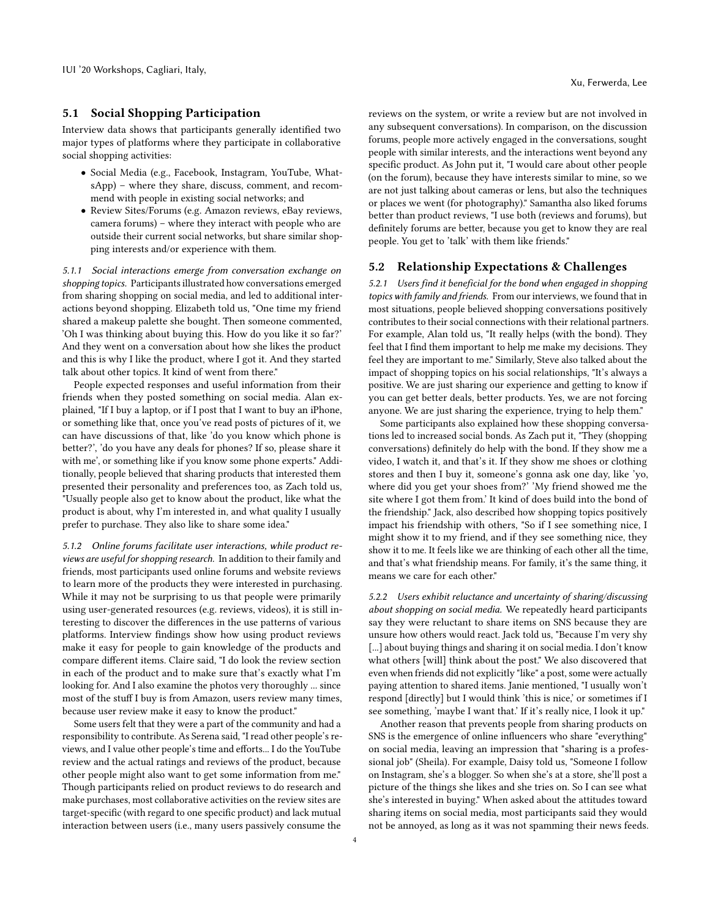#### 5.1 Social Shopping Participation

Interview data shows that participants generally identified two major types of platforms where they participate in collaborative social shopping activities:

- Social Media (e.g., Facebook, Instagram, YouTube, WhatsApp) – where they share, discuss, comment, and recommend with people in existing social networks; and
- Review Sites/Forums (e.g. Amazon reviews, eBay reviews, camera forums) – where they interact with people who are outside their current social networks, but share similar shopping interests and/or experience with them.

5.1.1 Social interactions emerge from conversation exchange on shopping topics. Participants illustrated how conversations emerged from sharing shopping on social media, and led to additional interactions beyond shopping. Elizabeth told us, "One time my friend shared a makeup palette she bought. Then someone commented, 'Oh I was thinking about buying this. How do you like it so far?' And they went on a conversation about how she likes the product and this is why I like the product, where I got it. And they started talk about other topics. It kind of went from there."

People expected responses and useful information from their friends when they posted something on social media. Alan explained, "If I buy a laptop, or if I post that I want to buy an iPhone, or something like that, once you've read posts of pictures of it, we can have discussions of that, like 'do you know which phone is better?', 'do you have any deals for phones? If so, please share it with me', or something like if you know some phone experts." Additionally, people believed that sharing products that interested them presented their personality and preferences too, as Zach told us, "Usually people also get to know about the product, like what the product is about, why I'm interested in, and what quality I usually prefer to purchase. They also like to share some idea."

5.1.2 Online forums facilitate user interactions, while product reviews are useful for shopping research. In addition to their family and friends, most participants used online forums and website reviews to learn more of the products they were interested in purchasing. While it may not be surprising to us that people were primarily using user-generated resources (e.g. reviews, videos), it is still interesting to discover the differences in the use patterns of various platforms. Interview findings show how using product reviews make it easy for people to gain knowledge of the products and compare different items. Claire said, "I do look the review section in each of the product and to make sure that's exactly what I'm looking for. And I also examine the photos very thoroughly ... since most of the stuff I buy is from Amazon, users review many times, because user review make it easy to know the product."

Some users felt that they were a part of the community and had a responsibility to contribute. As Serena said, "I read other people's reviews, and I value other people's time and efforts... I do the YouTube review and the actual ratings and reviews of the product, because other people might also want to get some information from me." Though participants relied on product reviews to do research and make purchases, most collaborative activities on the review sites are target-specific (with regard to one specific product) and lack mutual interaction between users (i.e., many users passively consume the

reviews on the system, or write a review but are not involved in any subsequent conversations). In comparison, on the discussion forums, people more actively engaged in the conversations, sought people with similar interests, and the interactions went beyond any specific product. As John put it, "I would care about other people (on the forum), because they have interests similar to mine, so we are not just talking about cameras or lens, but also the techniques or places we went (for photography)." Samantha also liked forums better than product reviews, "I use both (reviews and forums), but definitely forums are better, because you get to know they are real people. You get to 'talk' with them like friends."

#### 5.2 Relationship Expectations & Challenges

5.2.1 Users find it beneficial for the bond when engaged in shopping topics with family and friends. From our interviews, we found that in most situations, people believed shopping conversations positively contributes to their social connections with their relational partners. For example, Alan told us, "It really helps (with the bond). They feel that I find them important to help me make my decisions. They feel they are important to me." Similarly, Steve also talked about the impact of shopping topics on his social relationships, "It's always a positive. We are just sharing our experience and getting to know if you can get better deals, better products. Yes, we are not forcing anyone. We are just sharing the experience, trying to help them."

Some participants also explained how these shopping conversations led to increased social bonds. As Zach put it, "They (shopping conversations) definitely do help with the bond. If they show me a video, I watch it, and that's it. If they show me shoes or clothing stores and then I buy it, someone's gonna ask one day, like 'yo, where did you get your shoes from?' 'My friend showed me the site where I got them from.' It kind of does build into the bond of the friendship." Jack, also described how shopping topics positively impact his friendship with others, "So if I see something nice, I might show it to my friend, and if they see something nice, they show it to me. It feels like we are thinking of each other all the time, and that's what friendship means. For family, it's the same thing, it means we care for each other."

5.2.2 Users exhibit reluctance and uncertainty of sharing/discussing about shopping on social media. We repeatedly heard participants say they were reluctant to share items on SNS because they are unsure how others would react. Jack told us, "Because I'm very shy [...] about buying things and sharing it on social media. I don't know what others [will] think about the post." We also discovered that even when friends did not explicitly "like" a post, some were actually paying attention to shared items. Janie mentioned, "I usually won't respond [directly] but I would think 'this is nice,' or sometimes if I see something, 'maybe I want that.' If it's really nice, I look it up."

Another reason that prevents people from sharing products on SNS is the emergence of online influencers who share "everything" on social media, leaving an impression that "sharing is a professional job" (Sheila). For example, Daisy told us, "Someone I follow on Instagram, she's a blogger. So when she's at a store, she'll post a picture of the things she likes and she tries on. So I can see what she's interested in buying." When asked about the attitudes toward sharing items on social media, most participants said they would not be annoyed, as long as it was not spamming their news feeds.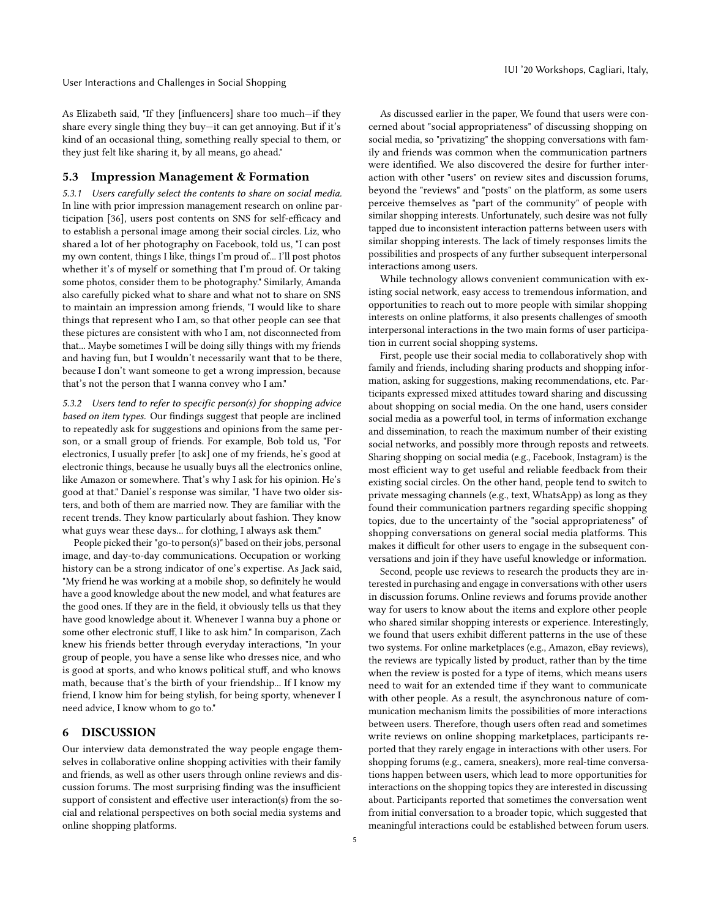User Interactions and Challenges in Social Shopping

IUI '20 Workshops, Cagliari, Italy,

As Elizabeth said, "If they [influencers] share too much—if they share every single thing they buy—it can get annoying. But if it's kind of an occasional thing, something really special to them, or they just felt like sharing it, by all means, go ahead."

#### 5.3 Impression Management & Formation

5.3.1 Users carefully select the contents to share on social media. In line with prior impression management research on online participation [\[36\]](#page-6-36), users post contents on SNS for self-efficacy and to establish a personal image among their social circles. Liz, who shared a lot of her photography on Facebook, told us, "I can post my own content, things I like, things I'm proud of... I'll post photos whether it's of myself or something that I'm proud of. Or taking some photos, consider them to be photography." Similarly, Amanda also carefully picked what to share and what not to share on SNS to maintain an impression among friends, "I would like to share things that represent who I am, so that other people can see that these pictures are consistent with who I am, not disconnected from that... Maybe sometimes I will be doing silly things with my friends and having fun, but I wouldn't necessarily want that to be there, because I don't want someone to get a wrong impression, because that's not the person that I wanna convey who I am."

5.3.2 Users tend to refer to specific person(s) for shopping advice based on item types. Our findings suggest that people are inclined to repeatedly ask for suggestions and opinions from the same person, or a small group of friends. For example, Bob told us, "For electronics, I usually prefer [to ask] one of my friends, he's good at electronic things, because he usually buys all the electronics online, like Amazon or somewhere. That's why I ask for his opinion. He's good at that." Daniel's response was similar, "I have two older sisters, and both of them are married now. They are familiar with the recent trends. They know particularly about fashion. They know what guys wear these days... for clothing, I always ask them."

People picked their "go-to person(s)" based on their jobs, personal image, and day-to-day communications. Occupation or working history can be a strong indicator of one's expertise. As Jack said, "My friend he was working at a mobile shop, so definitely he would have a good knowledge about the new model, and what features are the good ones. If they are in the field, it obviously tells us that they have good knowledge about it. Whenever I wanna buy a phone or some other electronic stuff, I like to ask him." In comparison, Zach knew his friends better through everyday interactions, "In your group of people, you have a sense like who dresses nice, and who is good at sports, and who knows political stuff, and who knows math, because that's the birth of your friendship... If I know my friend, I know him for being stylish, for being sporty, whenever I need advice, I know whom to go to."

#### 6 DISCUSSION

Our interview data demonstrated the way people engage themselves in collaborative online shopping activities with their family and friends, as well as other users through online reviews and discussion forums. The most surprising finding was the insufficient support of consistent and effective user interaction(s) from the social and relational perspectives on both social media systems and online shopping platforms.

As discussed earlier in the paper, We found that users were concerned about "social appropriateness" of discussing shopping on social media, so "privatizing" the shopping conversations with family and friends was common when the communication partners were identified. We also discovered the desire for further interaction with other "users" on review sites and discussion forums, beyond the "reviews" and "posts" on the platform, as some users perceive themselves as "part of the community" of people with similar shopping interests. Unfortunately, such desire was not fully tapped due to inconsistent interaction patterns between users with similar shopping interests. The lack of timely responses limits the possibilities and prospects of any further subsequent interpersonal interactions among users.

While technology allows convenient communication with existing social network, easy access to tremendous information, and opportunities to reach out to more people with similar shopping interests on online platforms, it also presents challenges of smooth interpersonal interactions in the two main forms of user participation in current social shopping systems.

First, people use their social media to collaboratively shop with family and friends, including sharing products and shopping information, asking for suggestions, making recommendations, etc. Participants expressed mixed attitudes toward sharing and discussing about shopping on social media. On the one hand, users consider social media as a powerful tool, in terms of information exchange and dissemination, to reach the maximum number of their existing social networks, and possibly more through reposts and retweets. Sharing shopping on social media (e.g., Facebook, Instagram) is the most efficient way to get useful and reliable feedback from their existing social circles. On the other hand, people tend to switch to private messaging channels (e.g., text, WhatsApp) as long as they found their communication partners regarding specific shopping topics, due to the uncertainty of the "social appropriateness" of shopping conversations on general social media platforms. This makes it difficult for other users to engage in the subsequent conversations and join if they have useful knowledge or information.

Second, people use reviews to research the products they are interested in purchasing and engage in conversations with other users in discussion forums. Online reviews and forums provide another way for users to know about the items and explore other people who shared similar shopping interests or experience. Interestingly, we found that users exhibit different patterns in the use of these two systems. For online marketplaces (e.g., Amazon, eBay reviews), the reviews are typically listed by product, rather than by the time when the review is posted for a type of items, which means users need to wait for an extended time if they want to communicate with other people. As a result, the asynchronous nature of communication mechanism limits the possibilities of more interactions between users. Therefore, though users often read and sometimes write reviews on online shopping marketplaces, participants reported that they rarely engage in interactions with other users. For shopping forums (e.g., camera, sneakers), more real-time conversations happen between users, which lead to more opportunities for interactions on the shopping topics they are interested in discussing about. Participants reported that sometimes the conversation went from initial conversation to a broader topic, which suggested that meaningful interactions could be established between forum users.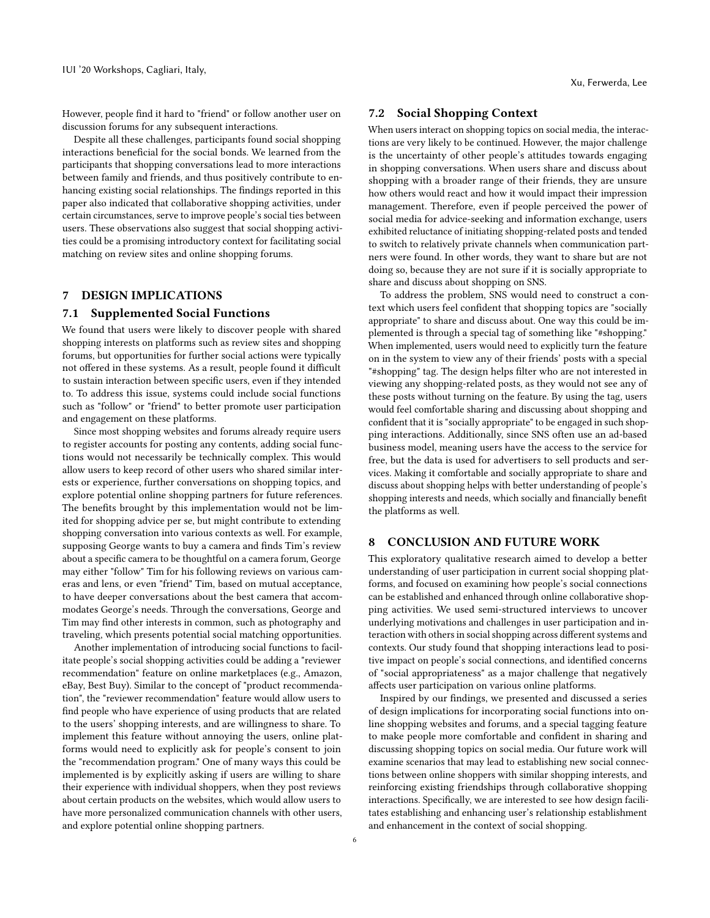However, people find it hard to "friend" or follow another user on discussion forums for any subsequent interactions.

Despite all these challenges, participants found social shopping interactions beneficial for the social bonds. We learned from the participants that shopping conversations lead to more interactions between family and friends, and thus positively contribute to enhancing existing social relationships. The findings reported in this paper also indicated that collaborative shopping activities, under certain circumstances, serve to improve people's social ties between users. These observations also suggest that social shopping activities could be a promising introductory context for facilitating social matching on review sites and online shopping forums.

#### 7 DESIGN IMPLICATIONS

#### 7.1 Supplemented Social Functions

We found that users were likely to discover people with shared shopping interests on platforms such as review sites and shopping forums, but opportunities for further social actions were typically not offered in these systems. As a result, people found it difficult to sustain interaction between specific users, even if they intended to. To address this issue, systems could include social functions such as "follow" or "friend" to better promote user participation and engagement on these platforms.

Since most shopping websites and forums already require users to register accounts for posting any contents, adding social functions would not necessarily be technically complex. This would allow users to keep record of other users who shared similar interests or experience, further conversations on shopping topics, and explore potential online shopping partners for future references. The benefits brought by this implementation would not be limited for shopping advice per se, but might contribute to extending shopping conversation into various contexts as well. For example, supposing George wants to buy a camera and finds Tim's review about a specific camera to be thoughtful on a camera forum, George may either "follow" Tim for his following reviews on various cameras and lens, or even "friend" Tim, based on mutual acceptance, to have deeper conversations about the best camera that accommodates George's needs. Through the conversations, George and Tim may find other interests in common, such as photography and traveling, which presents potential social matching opportunities.

Another implementation of introducing social functions to facilitate people's social shopping activities could be adding a "reviewer recommendation" feature on online marketplaces (e.g., Amazon, eBay, Best Buy). Similar to the concept of "product recommendation", the "reviewer recommendation" feature would allow users to find people who have experience of using products that are related to the users' shopping interests, and are willingness to share. To implement this feature without annoying the users, online platforms would need to explicitly ask for people's consent to join the "recommendation program." One of many ways this could be implemented is by explicitly asking if users are willing to share their experience with individual shoppers, when they post reviews about certain products on the websites, which would allow users to have more personalized communication channels with other users, and explore potential online shopping partners.

# 7.2 Social Shopping Context

When users interact on shopping topics on social media, the interactions are very likely to be continued. However, the major challenge is the uncertainty of other people's attitudes towards engaging in shopping conversations. When users share and discuss about shopping with a broader range of their friends, they are unsure how others would react and how it would impact their impression management. Therefore, even if people perceived the power of social media for advice-seeking and information exchange, users exhibited reluctance of initiating shopping-related posts and tended to switch to relatively private channels when communication partners were found. In other words, they want to share but are not doing so, because they are not sure if it is socially appropriate to share and discuss about shopping on SNS.

To address the problem, SNS would need to construct a context which users feel confident that shopping topics are "socially appropriate" to share and discuss about. One way this could be implemented is through a special tag of something like "#shopping." When implemented, users would need to explicitly turn the feature on in the system to view any of their friends' posts with a special "#shopping" tag. The design helps filter who are not interested in viewing any shopping-related posts, as they would not see any of these posts without turning on the feature. By using the tag, users would feel comfortable sharing and discussing about shopping and confident that it is "socially appropriate" to be engaged in such shopping interactions. Additionally, since SNS often use an ad-based business model, meaning users have the access to the service for free, but the data is used for advertisers to sell products and services. Making it comfortable and socially appropriate to share and discuss about shopping helps with better understanding of people's shopping interests and needs, which socially and financially benefit the platforms as well.

# 8 CONCLUSION AND FUTURE WORK

This exploratory qualitative research aimed to develop a better understanding of user participation in current social shopping platforms, and focused on examining how people's social connections can be established and enhanced through online collaborative shopping activities. We used semi-structured interviews to uncover underlying motivations and challenges in user participation and interaction with others in social shopping across different systems and contexts. Our study found that shopping interactions lead to positive impact on people's social connections, and identified concerns of "social appropriateness" as a major challenge that negatively affects user participation on various online platforms.

Inspired by our findings, we presented and discussed a series of design implications for incorporating social functions into online shopping websites and forums, and a special tagging feature to make people more comfortable and confident in sharing and discussing shopping topics on social media. Our future work will examine scenarios that may lead to establishing new social connections between online shoppers with similar shopping interests, and reinforcing existing friendships through collaborative shopping interactions. Specifically, we are interested to see how design facilitates establishing and enhancing user's relationship establishment and enhancement in the context of social shopping.